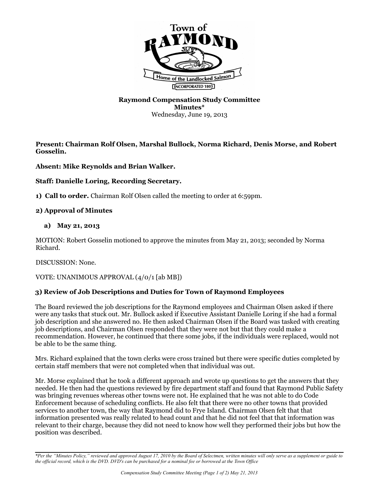

# **Raymond Compensation Study Committee Minutes\*** Wednesday, June 19, 2013

**Present: Chairman Rolf Olsen, Marshal Bullock, Norma Richard, Denis Morse, and Robert Gosselin.**

# **Absent: Mike Reynolds and Brian Walker.**

#### **Staff: Danielle Loring, Recording Secretary.**

**1) Call to order.** Chairman Rolf Olsen called the meeting to order at 6:59pm.

#### **2) Approval of Minutes**

#### **a) May 21, 2013**

MOTION: Robert Gosselin motioned to approve the minutes from May 21, 2013; seconded by Norma Richard.

DISCUSSION: None.

VOTE: UNANIMOUS APPROVAL (4/0/1 [ab MB])

# **3) Review of Job Descriptions and Duties for Town of Raymond Employees**

The Board reviewed the job descriptions for the Raymond employees and Chairman Olsen asked if there were any tasks that stuck out. Mr. Bullock asked if Executive Assistant Danielle Loring if she had a formal job description and she answered no. He then asked Chairman Olsen if the Board was tasked with creating job descriptions, and Chairman Olsen responded that they were not but that they could make a recommendation. However, he continued that there some jobs, if the individuals were replaced, would not be able to be the same thing.

Mrs. Richard explained that the town clerks were cross trained but there were specific duties completed by certain staff members that were not completed when that individual was out.

Mr. Morse explained that he took a different approach and wrote up questions to get the answers that they needed. He then had the questions reviewed by fire department staff and found that Raymond Public Safety was bringing revenues whereas other towns were not. He explained that he was not able to do Code Enforcement because of scheduling conflicts. He also felt that there were no other towns that provided services to another town, the way that Raymond did to Frye Island. Chairman Olsen felt that that information presented was really related to head count and that he did not feel that that information was relevant to their charge, because they did not need to know how well they performed their jobs but how the position was described.

*\*Per the "Minutes Policy," reviewed and approved August 17, 2010 by the Board of Selectmen, written minutes will only serve as a supplement or guide to the official record, which is the DVD. DVD's can be purchased for a nominal fee or borrowed at the Town Office*